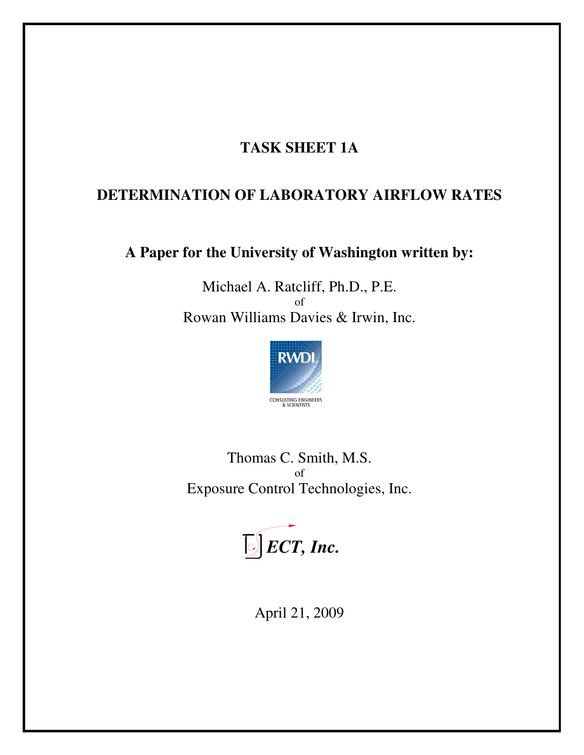# **TASK SHEET 1A**

## **DETERMINATION OF LABORATORY AIRFLOW RATES**

**A Paper for the University of Washington written by:**

Michael A. Ratcliff, Ph.D., P.E. of Rowan Williams Davies & Irwin, Inc.



Thomas C. Smith, M.S. of Exposure Control Technologies, Inc.



April 21, 2009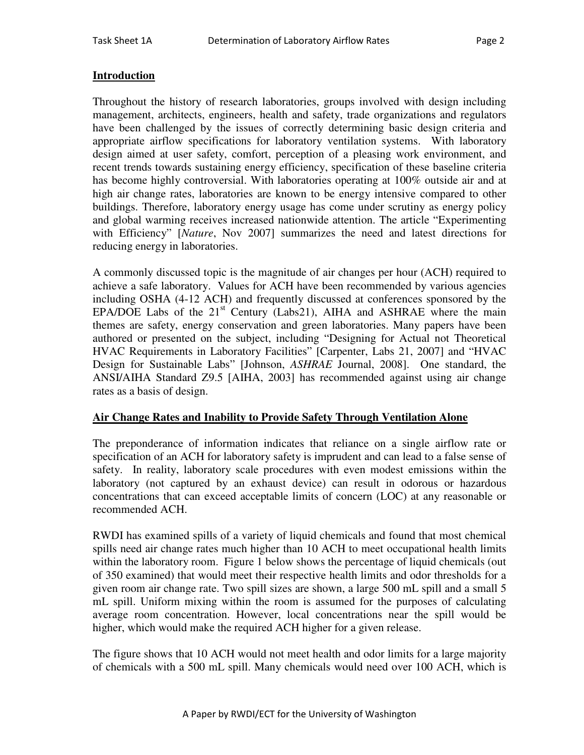### **Introduction**

Throughout the history of research laboratories, groups involved with design including management, architects, engineers, health and safety, trade organizations and regulators have been challenged by the issues of correctly determining basic design criteria and appropriate airflow specifications for laboratory ventilation systems. With laboratory design aimed at user safety, comfort, perception of a pleasing work environment, and recent trends towards sustaining energy efficiency, specification of these baseline criteria has become highly controversial. With laboratories operating at 100% outside air and at high air change rates, laboratories are known to be energy intensive compared to other buildings. Therefore, laboratory energy usage has come under scrutiny as energy policy and global warming receives increased nationwide attention. The article "Experimenting with Efficiency" [*Nature*, Nov 2007] summarizes the need and latest directions for reducing energy in laboratories.

A commonly discussed topic is the magnitude of air changes per hour (ACH) required to achieve a safe laboratory. Values for ACH have been recommended by various agencies including OSHA (4-12 ACH) and frequently discussed at conferences sponsored by the EPA/DOE Labs of the  $21<sup>st</sup>$  Century (Labs21), AIHA and ASHRAE where the main themes are safety, energy conservation and green laboratories. Many papers have been authored or presented on the subject, including "Designing for Actual not Theoretical HVAC Requirements in Laboratory Facilities" [Carpenter, Labs 21, 2007] and "HVAC Design for Sustainable Labs" [Johnson, *ASHRAE* Journal, 2008]. One standard, the ANSI/AIHA Standard Z9.5 [AIHA, 2003] has recommended against using air change rates as a basis of design.

#### **Air Change Rates and Inability to Provide Safety Through Ventilation Alone**

The preponderance of information indicates that reliance on a single airflow rate or specification of an ACH for laboratory safety is imprudent and can lead to a false sense of safety. In reality, laboratory scale procedures with even modest emissions within the laboratory (not captured by an exhaust device) can result in odorous or hazardous concentrations that can exceed acceptable limits of concern (LOC) at any reasonable or recommended ACH.

RWDI has examined spills of a variety of liquid chemicals and found that most chemical spills need air change rates much higher than 10 ACH to meet occupational health limits within the laboratory room. Figure 1 below shows the percentage of liquid chemicals (out of 350 examined) that would meet their respective health limits and odor thresholds for a given room air change rate. Two spill sizes are shown, a large 500 mL spill and a small 5 mL spill. Uniform mixing within the room is assumed for the purposes of calculating average room concentration. However, local concentrations near the spill would be higher, which would make the required ACH higher for a given release.

The figure shows that 10 ACH would not meet health and odor limits for a large majority of chemicals with a 500 mL spill. Many chemicals would need over 100 ACH, which is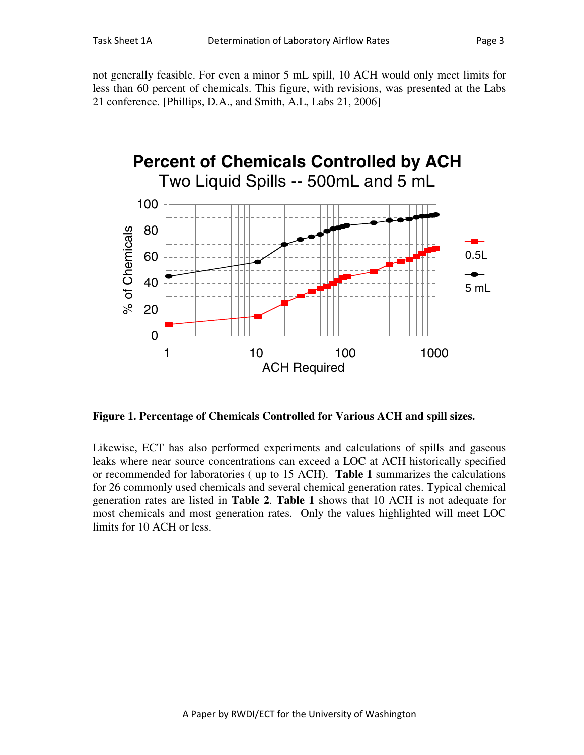not generally feasible. For even a minor 5 mL spill, 10 ACH would only meet limits for less than 60 percent of chemicals. This figure, with revisions, was presented at the Labs 21 conference. [Phillips, D.A., and Smith, A.L, Labs 21, 2006]



**Figure 1. Percentage of Chemicals Controlled for Various ACH and spill sizes.**

Likewise, ECT has also performed experiments and calculations of spills and gaseous leaks where near source concentrations can exceed a LOC at ACH historically specified or recommended for laboratories ( up to 15 ACH). **Table 1** summarizes the calculations for 26 commonly used chemicals and several chemical generation rates. Typical chemical generation rates are listed in **Table 2**. **Table 1** shows that 10 ACH is not adequate for most chemicals and most generation rates. Only the values highlighted will meet LOC limits for 10 ACH or less.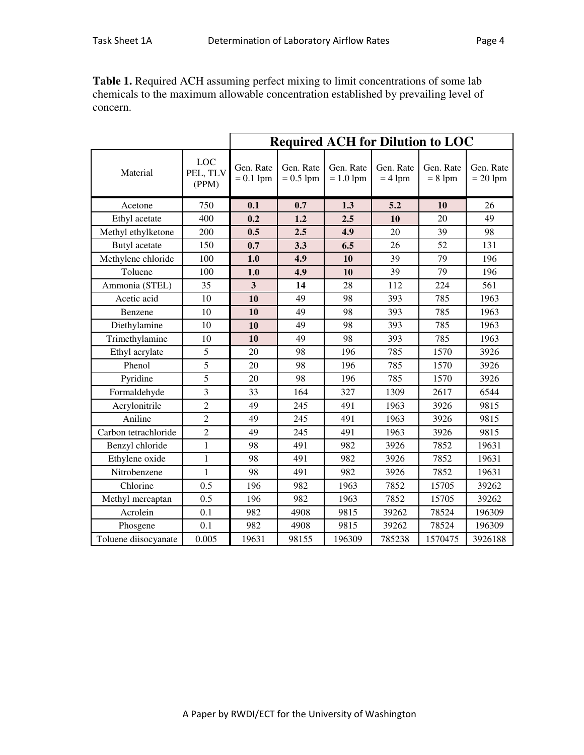**Table 1.** Required ACH assuming perfect mixing to limit concentrations of some lab chemicals to the maximum allowable concentration established by prevailing level of concern.

|                      | <b>Required ACH for Dilution to LOC</b> |                          |                          |                          |                        |                        |                         |
|----------------------|-----------------------------------------|--------------------------|--------------------------|--------------------------|------------------------|------------------------|-------------------------|
| Material             | <b>LOC</b><br>PEL, TLV<br>(PPM)         | Gen. Rate<br>$= 0.1$ lpm | Gen. Rate<br>$= 0.5$ lpm | Gen. Rate<br>$= 1.0$ lpm | Gen. Rate<br>$= 4$ lpm | Gen. Rate<br>$= 8$ lpm | Gen. Rate<br>$= 20$ lpm |
| Acetone              | 750                                     | 0.1                      | 0.7                      | 1.3                      | 5.2                    | 10                     | 26                      |
| Ethyl acetate        | 400                                     | 0.2                      | 1.2                      | 2.5                      | 10                     | 20                     | 49                      |
| Methyl ethylketone   | 200                                     | 0.5                      | 2.5                      | 4.9                      | 20                     | 39                     | 98                      |
| Butyl acetate        | 150                                     | 0.7                      | 3.3                      | 6.5                      | 26                     | 52                     | 131                     |
| Methylene chloride   | 100                                     | 1.0                      | 4.9                      | 10                       | 39                     | 79                     | 196                     |
| Toluene              | 100                                     | 1.0                      | 4.9                      | 10                       | 39                     | 79                     | 196                     |
| Ammonia (STEL)       | 35                                      | $\overline{\mathbf{3}}$  | 14                       | 28                       | 112                    | 224                    | 561                     |
| Acetic acid          | 10                                      | 10                       | 49                       | 98                       | 393                    | 785                    | 1963                    |
| Benzene              | 10                                      | 10                       | 49                       | 98                       | 393                    | 785                    | 1963                    |
| Diethylamine         | 10                                      | 10                       | 49                       | 98                       | 393                    | 785                    | 1963                    |
| Trimethylamine       | 10                                      | 10                       | 49                       | 98                       | 393                    | 785                    | 1963                    |
| Ethyl acrylate       | 5                                       | 20                       | 98                       | 196                      | 785                    | 1570                   | 3926                    |
| Phenol               | $\overline{5}$                          | 20                       | 98                       | 196                      | 785                    | 1570                   | 3926                    |
| Pyridine             | 5                                       | 20                       | 98                       | 196                      | 785                    | 1570                   | 3926                    |
| Formaldehyde         | 3                                       | 33                       | 164                      | 327                      | 1309                   | 2617                   | 6544                    |
| Acrylonitrile        | $\overline{2}$                          | 49                       | 245                      | 491                      | 1963                   | 3926                   | 9815                    |
| Aniline              | $\overline{2}$                          | 49                       | 245                      | 491                      | 1963                   | 3926                   | 9815                    |
| Carbon tetrachloride | $\overline{2}$                          | 49                       | 245                      | 491                      | 1963                   | 3926                   | 9815                    |
| Benzyl chloride      | $\mathbf{1}$                            | 98                       | 491                      | 982                      | 3926                   | 7852                   | 19631                   |
| Ethylene oxide       | $\mathbf{1}$                            | 98                       | 491                      | 982                      | 3926                   | 7852                   | 19631                   |
| Nitrobenzene         | $\mathbf{1}$                            | 98                       | 491                      | 982                      | 3926                   | 7852                   | 19631                   |
| Chlorine             | 0.5                                     | 196                      | 982                      | 1963                     | 7852                   | 15705                  | 39262                   |
| Methyl mercaptan     | 0.5                                     | 196                      | 982                      | 1963                     | 7852                   | 15705                  | 39262                   |
| Acrolein             | 0.1                                     | 982                      | 4908                     | 9815                     | 39262                  | 78524                  | 196309                  |
| Phosgene             | 0.1                                     | 982                      | 4908                     | 9815                     | 39262                  | 78524                  | 196309                  |
| Toluene diisocyanate | 0.005                                   | 19631                    | 98155                    | 196309                   | 785238                 | 1570475                | 3926188                 |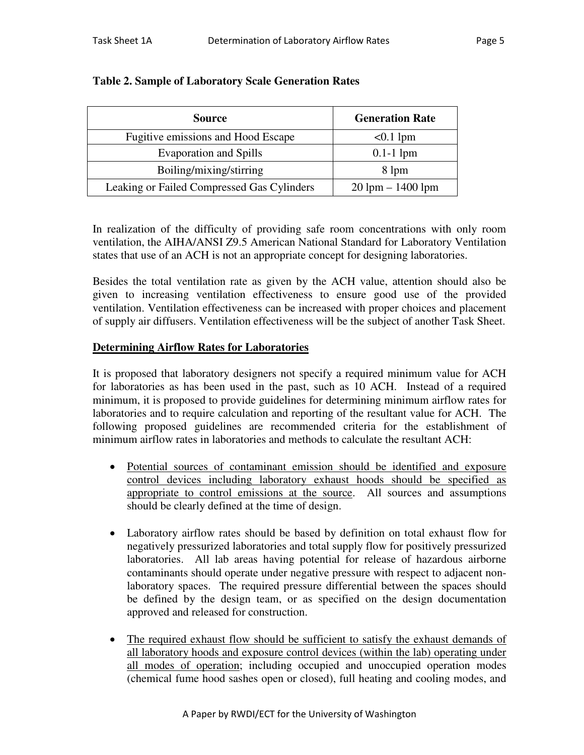| <b>Source</b>                              | <b>Generation Rate</b> |  |  |
|--------------------------------------------|------------------------|--|--|
| Fugitive emissions and Hood Escape         | $< 0.1$ lpm            |  |  |
| <b>Evaporation and Spills</b>              | $0.1-1$ lpm            |  |  |
| Boiling/mixing/stirring                    | 8 lpm                  |  |  |
| Leaking or Failed Compressed Gas Cylinders | $20$ lpm $- 1400$ lpm  |  |  |

## **Table 2. Sample of Laboratory Scale Generation Rates**

In realization of the difficulty of providing safe room concentrations with only room ventilation, the AIHA/ANSI Z9.5 American National Standard for Laboratory Ventilation states that use of an ACH is not an appropriate concept for designing laboratories.

Besides the total ventilation rate as given by the ACH value, attention should also be given to increasing ventilation effectiveness to ensure good use of the provided ventilation. Ventilation effectiveness can be increased with proper choices and placement of supply air diffusers. Ventilation effectiveness will be the subject of another Task Sheet.

### **Determining Airflow Rates for Laboratories**

It is proposed that laboratory designers not specify a required minimum value for ACH for laboratories as has been used in the past, such as 10 ACH. Instead of a required minimum, it is proposed to provide guidelines for determining minimum airflow rates for laboratories and to require calculation and reporting of the resultant value for ACH. The following proposed guidelines are recommended criteria for the establishment of minimum airflow rates in laboratories and methods to calculate the resultant ACH:

- · Potential sources of contaminant emission should be identified and exposure control devices including laboratory exhaust hoods should be specified as appropriate to control emissions at the source. All sources and assumptions should be clearly defined at the time of design.
- · Laboratory airflow rates should be based by definition on total exhaust flow for negatively pressurized laboratories and total supply flow for positively pressurized laboratories. All lab areas having potential for release of hazardous airborne contaminants should operate under negative pressure with respect to adjacent nonlaboratory spaces. The required pressure differential between the spaces should be defined by the design team, or as specified on the design documentation approved and released for construction.
- The required exhaust flow should be sufficient to satisfy the exhaust demands of all laboratory hoods and exposure control devices (within the lab) operating under all modes of operation; including occupied and unoccupied operation modes (chemical fume hood sashes open or closed), full heating and cooling modes, and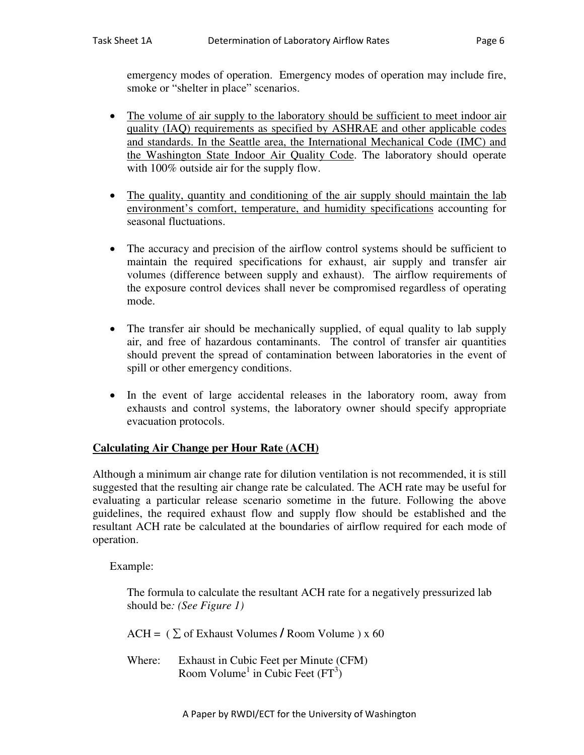- The volume of air supply to the laboratory should be sufficient to meet indoor air quality (IAQ) requirements as specified by ASHRAE and other applicable codes and standards. In the Seattle area, the International Mechanical Code (IMC) and the Washington State Indoor Air Quality Code. The laboratory should operate with 100% outside air for the supply flow.
- The quality, quantity and conditioning of the air supply should maintain the lab environment's comfort, temperature, and humidity specifications accounting for seasonal fluctuations.
- The accuracy and precision of the airflow control systems should be sufficient to maintain the required specifications for exhaust, air supply and transfer air volumes (difference between supply and exhaust). The airflow requirements of the exposure control devices shall never be compromised regardless of operating mode.
- The transfer air should be mechanically supplied, of equal quality to lab supply air, and free of hazardous contaminants. The control of transfer air quantities should prevent the spread of contamination between laboratories in the event of spill or other emergency conditions.
- · In the event of large accidental releases in the laboratory room, away from exhausts and control systems, the laboratory owner should specify appropriate evacuation protocols.

## **Calculating Air Change per Hour Rate (ACH)**

smoke or "shelter in place" scenarios.

Although a minimum air change rate for dilution ventilation is not recommended, it is still suggested that the resulting air change rate be calculated. The ACH rate may be useful for evaluating a particular release scenario sometime in the future. Following the above guidelines, the required exhaust flow and supply flow should be established and the resultant ACH rate be calculated at the boundaries of airflow required for each mode of operation.

Example:

The formula to calculate the resultant ACH rate for a negatively pressurized lab should be*: (See Figure 1)*

 $ACH = (\sum \text{ of Exhaust Volumes / Room Volume}) \times 60$ 

Where: Exhaust in Cubic Feet per Minute (CFM) Room Volume<sup>1</sup> in Cubic Feet  $(FT^3)$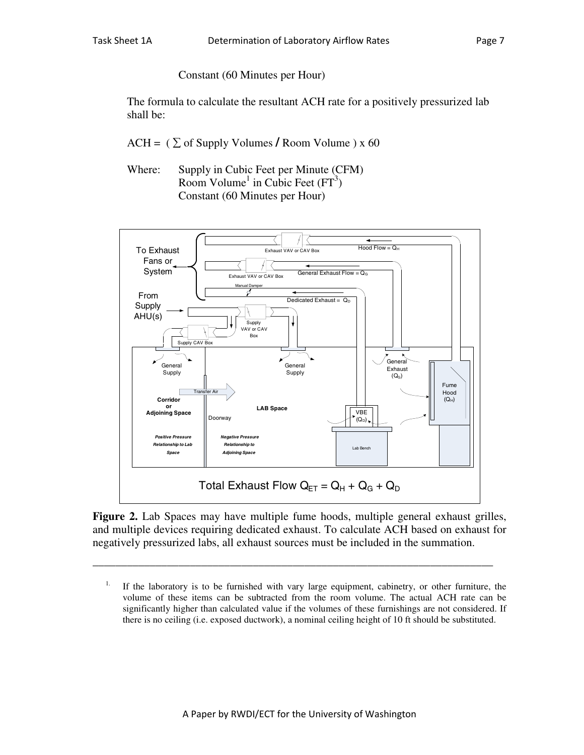Constant (60 Minutes per Hour)

The formula to calculate the resultant ACH rate for a positively pressurized lab shall be:

- $ACH = (\sum_{i}$  of Supply Volumes / Room Volume ) x 60
- Where: Supply in Cubic Feet per Minute (CFM) Room Volume<sup>1</sup> in Cubic Feet  $(FT<sup>3</sup>)$ Constant (60 Minutes per Hour)



**Figure 2.** Lab Spaces may have multiple fume hoods, multiple general exhaust grilles, and multiple devices requiring dedicated exhaust. To calculate ACH based on exhaust for negatively pressurized labs, all exhaust sources must be included in the summation.

\_\_\_\_\_\_\_\_\_\_\_\_\_\_\_\_\_\_\_\_\_\_\_\_\_\_\_\_\_\_\_\_\_\_\_\_\_\_\_\_\_\_\_\_\_\_\_\_\_\_\_\_\_\_\_\_\_\_\_\_\_\_\_\_\_\_\_\_\_\_

<sup>&</sup>lt;sup>1.</sup> If the laboratory is to be furnished with vary large equipment, cabinetry, or other furniture, the volume of these items can be subtracted from the room volume. The actual ACH rate can be significantly higher than calculated value if the volumes of these furnishings are not considered. If there is no ceiling (i.e. exposed ductwork), a nominal ceiling height of 10 ft should be substituted.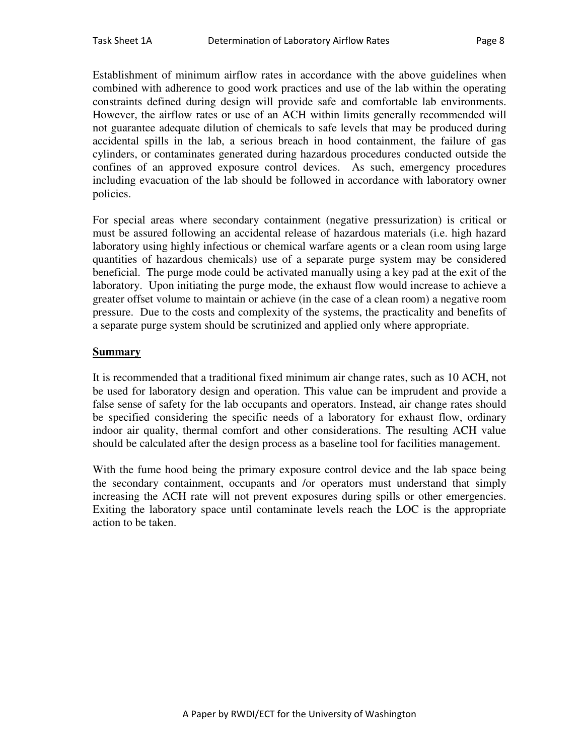Establishment of minimum airflow rates in accordance with the above guidelines when combined with adherence to good work practices and use of the lab within the operating constraints defined during design will provide safe and comfortable lab environments. However, the airflow rates or use of an ACH within limits generally recommended will not guarantee adequate dilution of chemicals to safe levels that may be produced during accidental spills in the lab, a serious breach in hood containment, the failure of gas cylinders, or contaminates generated during hazardous procedures conducted outside the confines of an approved exposure control devices. As such, emergency procedures including evacuation of the lab should be followed in accordance with laboratory owner policies.

For special areas where secondary containment (negative pressurization) is critical or must be assured following an accidental release of hazardous materials (i.e. high hazard laboratory using highly infectious or chemical warfare agents or a clean room using large quantities of hazardous chemicals) use of a separate purge system may be considered beneficial. The purge mode could be activated manually using a key pad at the exit of the laboratory. Upon initiating the purge mode, the exhaust flow would increase to achieve a greater offset volume to maintain or achieve (in the case of a clean room) a negative room pressure. Due to the costs and complexity of the systems, the practicality and benefits of a separate purge system should be scrutinized and applied only where appropriate.

#### **Summary**

It is recommended that a traditional fixed minimum air change rates, such as 10 ACH, not be used for laboratory design and operation. This value can be imprudent and provide a false sense of safety for the lab occupants and operators. Instead, air change rates should be specified considering the specific needs of a laboratory for exhaust flow, ordinary indoor air quality, thermal comfort and other considerations. The resulting ACH value should be calculated after the design process as a baseline tool for facilities management.

With the fume hood being the primary exposure control device and the lab space being the secondary containment, occupants and /or operators must understand that simply increasing the ACH rate will not prevent exposures during spills or other emergencies. Exiting the laboratory space until contaminate levels reach the LOC is the appropriate action to be taken.